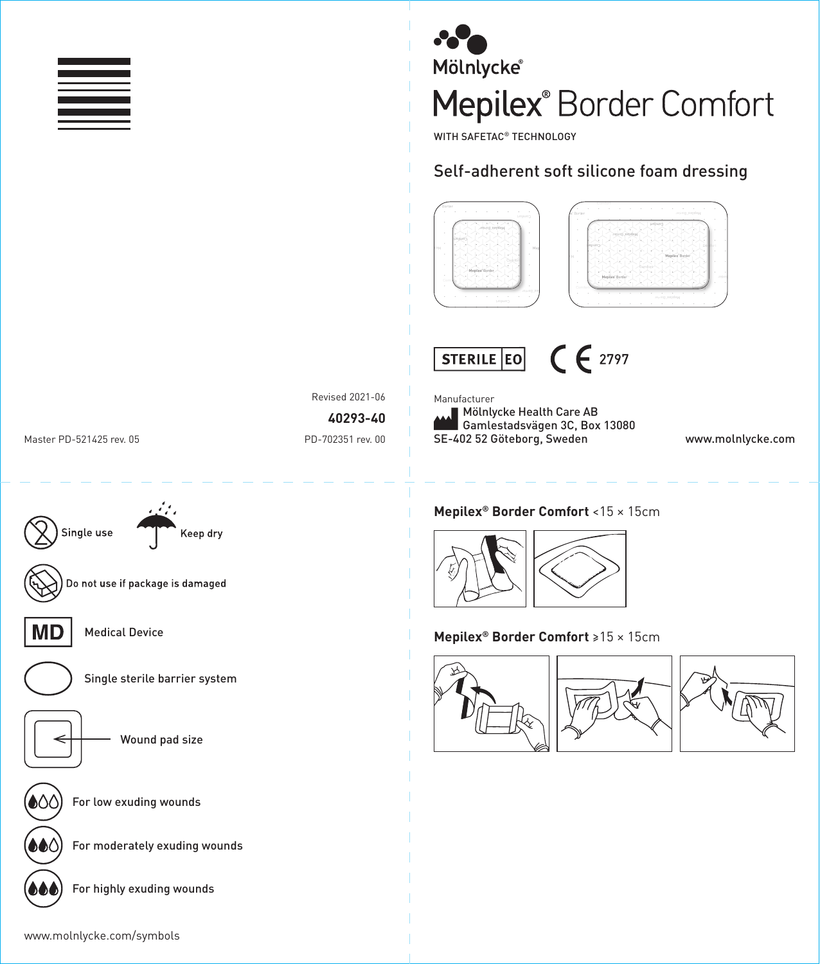



WITH SAFETAC® TECHNOLOGY

## Self-adherent soft silicone foam dressing





Mölnlycke Health Care AB Gamlestadsvägen 3C, Box 13080

Manufacturer

Revised 2021-06

**40293-40**

Master PD-521425 rev. 05 extending the Master PD-702351 rev. 00

Single use

# **Mepilex® Border Comfort** <15 × 15cm



### **Mepilex® Border Comfort** ≥15 × 15cm





SE-402 52 Göteborg, Sweden www.molnlycke.com



Comfort

 $\sim$ 

redroB

® Border



MD

For low exuding wounds

Medical Device

Do not use if package is damaged

For moderately exuding wounds

Single sterile barrier system

Keep dry

Wound pad size

For highly exuding wounds